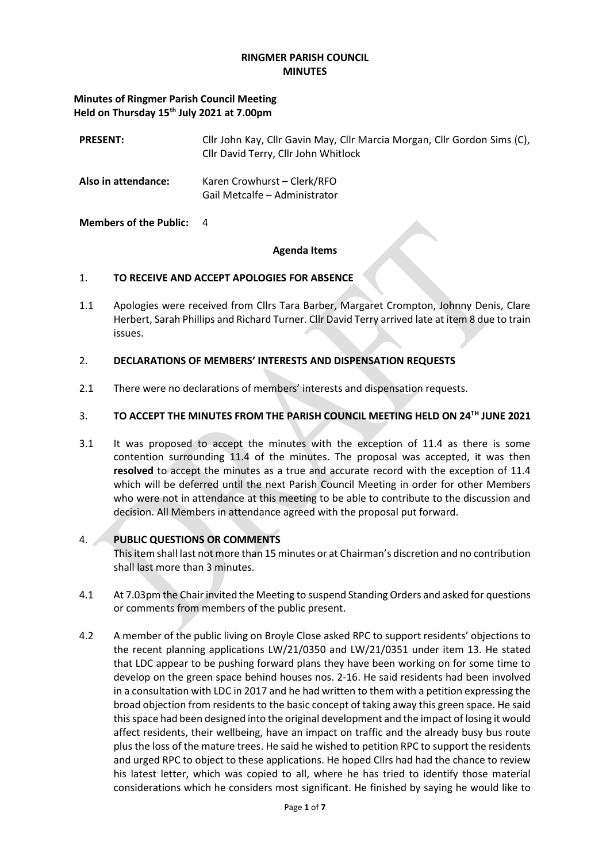#### **RINGMER PARISH COUNCIL MINUTES**

### **Minutes of Ringmer Parish Council Meeting Held on Thursday 15th July 2021 at 7.00pm**

| <b>PRESENT:</b>     | Cllr John Kay, Cllr Gavin May, Cllr Marcia Morgan, Cllr Gordon Sims (C),<br>Cllr David Terry, Cllr John Whitlock |
|---------------------|------------------------------------------------------------------------------------------------------------------|
| Also in attendance: | Karen Crowhurst – Clerk/RFO<br>Gail Metcalfe - Administrator                                                     |

### **Members of the Public:** 4

#### **Agenda Items**

### 1. **TO RECEIVE AND ACCEPT APOLOGIES FOR ABSENCE**

1.1 Apologies were received from Cllrs Tara Barber, Margaret Crompton, Johnny Denis, Clare Herbert, Sarah Phillips and Richard Turner. Cllr David Terry arrived late at item 8 due to train issues.

### 2. **DECLARATIONS OF MEMBERS' INTERESTS AND DISPENSATION REQUESTS**

2.1 There were no declarations of members' interests and dispensation requests.

# 3. **TO ACCEPT THE MINUTES FROM THE PARISH COUNCIL MEETING HELD ON 24TH JUNE 2021**

3.1 It was proposed to accept the minutes with the exception of 11.4 as there is some contention surrounding 11.4 of the minutes. The proposal was accepted, it was then **resolved** to accept the minutes as a true and accurate record with the exception of 11.4 which will be deferred until the next Parish Council Meeting in order for other Members who were not in attendance at this meeting to be able to contribute to the discussion and decision. All Members in attendance agreed with the proposal put forward.

# 4. **PUBLIC QUESTIONS OR COMMENTS**

This item shall last not more than 15 minutes or at Chairman's discretion and no contribution shall last more than 3 minutes.

- 4.1 At 7.03pm the Chair invited the Meeting to suspend Standing Orders and asked for questions or comments from members of the public present.
- 4.2 A member of the public living on Broyle Close asked RPC to support residents' objections to the recent planning applications LW/21/0350 and LW/21/0351 under item 13. He stated that LDC appear to be pushing forward plans they have been working on for some time to develop on the green space behind houses nos. 2-16. He said residents had been involved in a consultation with LDC in 2017 and he had written to them with a petition expressing the broad objection from residents to the basic concept of taking away this green space. He said this space had been designed into the original development and the impact of losing it would affect residents, their wellbeing, have an impact on traffic and the already busy bus route plus the loss of the mature trees. He said he wished to petition RPC to support the residents and urged RPC to object to these applications. He hoped Cllrs had had the chance to review his latest letter, which was copied to all, where he has tried to identify those material considerations which he considers most significant. He finished by saying he would like to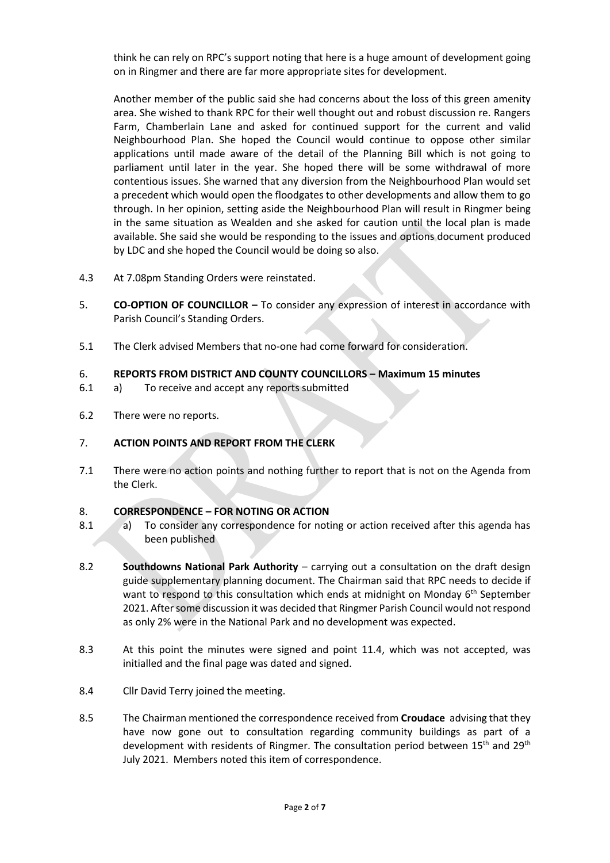think he can rely on RPC's support noting that here is a huge amount of development going on in Ringmer and there are far more appropriate sites for development.

Another member of the public said she had concerns about the loss of this green amenity area. She wished to thank RPC for their well thought out and robust discussion re. Rangers Farm, Chamberlain Lane and asked for continued support for the current and valid Neighbourhood Plan. She hoped the Council would continue to oppose other similar applications until made aware of the detail of the Planning Bill which is not going to parliament until later in the year. She hoped there will be some withdrawal of more contentious issues. She warned that any diversion from the Neighbourhood Plan would set a precedent which would open the floodgates to other developments and allow them to go through. In her opinion, setting aside the Neighbourhood Plan will result in Ringmer being in the same situation as Wealden and she asked for caution until the local plan is made available. She said she would be responding to the issues and options document produced by LDC and she hoped the Council would be doing so also.

- 4.3 At 7.08pm Standing Orders were reinstated.
- 5. **CO-OPTION OF COUNCILLOR –** To consider any expression of interest in accordance with Parish Council's Standing Orders.
- 5.1 The Clerk advised Members that no-one had come forward for consideration.

### 6. **REPORTS FROM DISTRICT AND COUNTY COUNCILLORS – Maximum 15 minutes**

- 6.1 a) To receive and accept any reports submitted
- 6.2 There were no reports.

# 7. **ACTION POINTS AND REPORT FROM THE CLERK**

7.1 There were no action points and nothing further to report that is not on the Agenda from the Clerk.

### 8. **CORRESPONDENCE – FOR NOTING OR ACTION**

- 8.1 a) To consider any correspondence for noting or action received after this agenda has been published
- 8.2 **Southdowns National Park Authority** carrying out a consultation on the draft design guide supplementary planning document. The Chairman said that RPC needs to decide if want to respond to this consultation which ends at midnight on Monday 6<sup>th</sup> September 2021. After some discussion it was decided that Ringmer Parish Council would not respond as only 2% were in the National Park and no development was expected.
- 8.3 At this point the minutes were signed and point 11.4, which was not accepted, was initialled and the final page was dated and signed.
- 8.4 Cllr David Terry joined the meeting.
- 8.5 The Chairman mentioned the correspondence received from **Croudace** advising that they have now gone out to consultation regarding community buildings as part of a development with residents of Ringmer. The consultation period between 15<sup>th</sup> and 29<sup>th</sup> July 2021. Members noted this item of correspondence.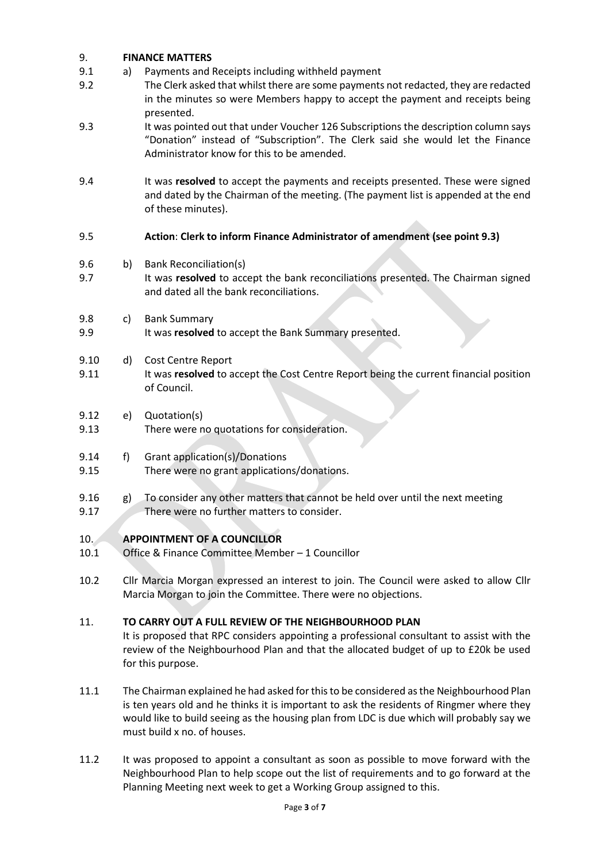# 9. **FINANCE MATTERS**

- 9.1 a) Payments and Receipts including withheld payment
- 9.2 The Clerk asked that whilst there are some payments not redacted, they are redacted in the minutes so were Members happy to accept the payment and receipts being presented.
- 9.3 It was pointed out that under Voucher 126 Subscriptions the description column says "Donation" instead of "Subscription". The Clerk said she would let the Finance Administrator know for this to be amended.
- 9.4 It was **resolved** to accept the payments and receipts presented. These were signed and dated by the Chairman of the meeting. (The payment list is appended at the end of these minutes).

# 9.5 **Action**: **Clerk to inform Finance Administrator of amendment (see point 9.3)**

- 9.6 b) Bank Reconciliation(s)
- 9.7 It was **resolved** to accept the bank reconciliations presented. The Chairman signed and dated all the bank reconciliations.
- 9.8 c) Bank Summary
- 9.9 It was **resolved** to accept the Bank Summary presented.
- 9.10 d) Cost Centre Report
- 9.11 It was **resolved** to accept the Cost Centre Report being the current financial position of Council.
- 9.12 e) Quotation(s)
- 9.13 There were no quotations for consideration.
- 9.14 f) Grant application(s)/Donations
- 9.15 There were no grant applications/donations.
- 9.16 g) To consider any other matters that cannot be held over until the next meeting
- 9.17 There were no further matters to consider.

# 10. **APPOINTMENT OF A COUNCILLOR**

- 10.1 Office & Finance Committee Member 1 Councillor
- 10.2 Cllr Marcia Morgan expressed an interest to join. The Council were asked to allow Cllr Marcia Morgan to join the Committee. There were no objections.

# 11. **TO CARRY OUT A FULL REVIEW OF THE NEIGHBOURHOOD PLAN**

It is proposed that RPC considers appointing a professional consultant to assist with the review of the Neighbourhood Plan and that the allocated budget of up to £20k be used for this purpose.

- 11.1 The Chairman explained he had asked for this to be considered as the Neighbourhood Plan is ten years old and he thinks it is important to ask the residents of Ringmer where they would like to build seeing as the housing plan from LDC is due which will probably say we must build x no. of houses.
- 11.2 It was proposed to appoint a consultant as soon as possible to move forward with the Neighbourhood Plan to help scope out the list of requirements and to go forward at the Planning Meeting next week to get a Working Group assigned to this.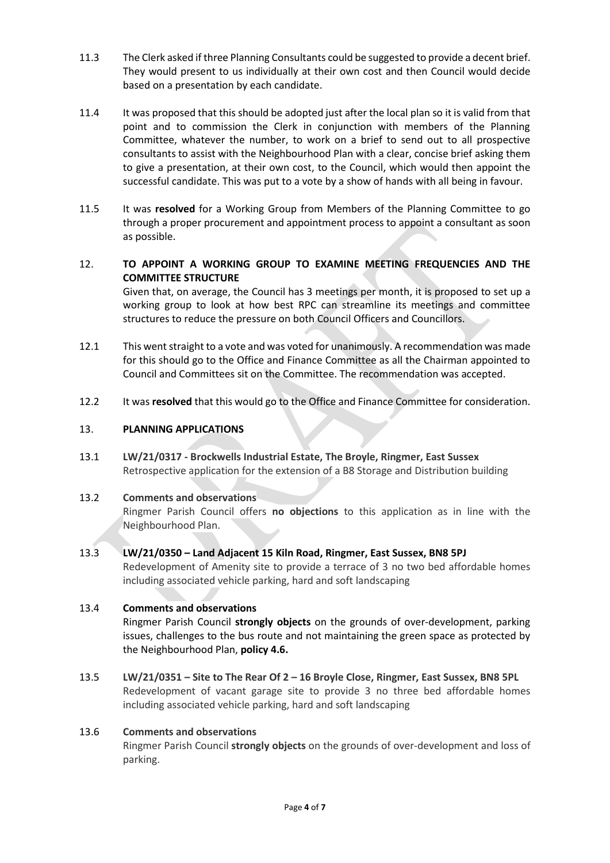- 11.3 The Clerk asked if three Planning Consultants could be suggested to provide a decent brief. They would present to us individually at their own cost and then Council would decide based on a presentation by each candidate.
- 11.4 It was proposed that this should be adopted just after the local plan so it is valid from that point and to commission the Clerk in conjunction with members of the Planning Committee, whatever the number, to work on a brief to send out to all prospective consultants to assist with the Neighbourhood Plan with a clear, concise brief asking them to give a presentation, at their own cost, to the Council, which would then appoint the successful candidate. This was put to a vote by a show of hands with all being in favour.
- 11.5 It was **resolved** for a Working Group from Members of the Planning Committee to go through a proper procurement and appointment process to appoint a consultant as soon as possible.

# 12. **TO APPOINT A WORKING GROUP TO EXAMINE MEETING FREQUENCIES AND THE COMMITTEE STRUCTURE**

Given that, on average, the Council has 3 meetings per month, it is proposed to set up a working group to look at how best RPC can streamline its meetings and committee structures to reduce the pressure on both Council Officers and Councillors.

- 12.1 This went straight to a vote and was voted for unanimously. A recommendation was made for this should go to the Office and Finance Committee as all the Chairman appointed to Council and Committees sit on the Committee. The recommendation was accepted.
- 12.2 It was **resolved** that this would go to the Office and Finance Committee for consideration.

### 13. **PLANNING APPLICATIONS**

13.1 **LW/21/0317 - Brockwells Industrial Estate, The Broyle, Ringmer, East Sussex** Retrospective application for the extension of a B8 Storage and Distribution building

### 13.2 **Comments and observations**

Ringmer Parish Council offers **no objections** to this application as in line with the Neighbourhood Plan.

# 13.3 **LW/21/0350 – Land Adjacent 15 Kiln Road, Ringmer, East Sussex, BN8 5PJ**

Redevelopment of Amenity site to provide a terrace of 3 no two bed affordable homes including associated vehicle parking, hard and soft landscaping

### 13.4 **Comments and observations**

Ringmer Parish Council **strongly objects** on the grounds of over-development, parking issues, challenges to the bus route and not maintaining the green space as protected by the Neighbourhood Plan, **policy 4.6.**

13.5 **LW/21/0351 – Site to The Rear Of 2 – 16 Broyle Close, Ringmer, East Sussex, BN8 5PL** Redevelopment of vacant garage site to provide 3 no three bed affordable homes including associated vehicle parking, hard and soft landscaping

### 13.6 **Comments and observations**

Ringmer Parish Council **strongly objects** on the grounds of over-development and loss of parking.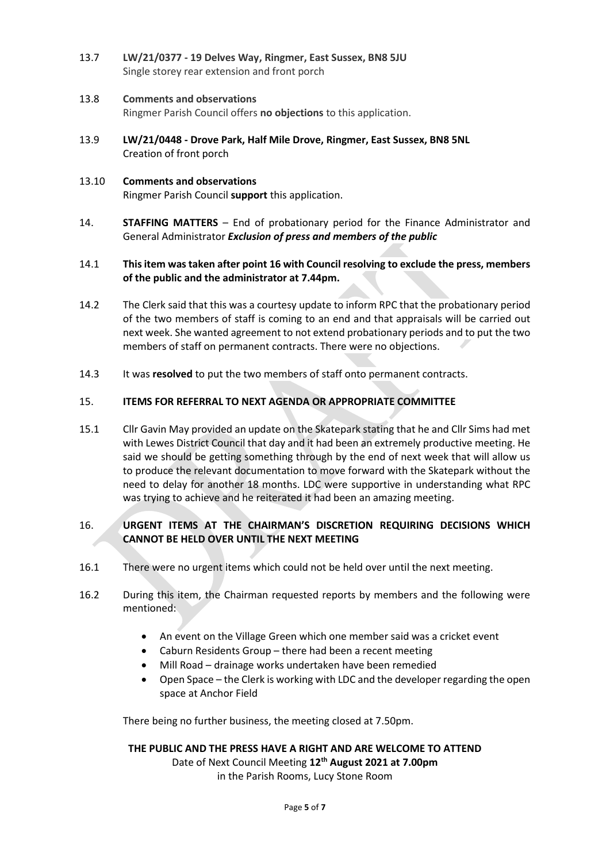13.7 **LW/21/0377 - 19 Delves Way, Ringmer, East Sussex, BN8 5JU** Single storey rear extension and front porch

### 13.8 **Comments and observations**

Ringmer Parish Council offers **no objections** to this application.

- 13.9 **LW/21/0448 - Drove Park, Half Mile Drove, Ringmer, East Sussex, BN8 5NL** Creation of front porch
- 13.10 **Comments and observations** Ringmer Parish Council **support** this application.
- 14. **STAFFING MATTERS**  End of probationary period for the Finance Administrator and General Administrator *Exclusion of press and members of the public*

### 14.1 **This item was taken after point 16 with Council resolving to exclude the press, members of the public and the administrator at 7.44pm.**

- 14.2 The Clerk said that this was a courtesy update to inform RPC that the probationary period of the two members of staff is coming to an end and that appraisals will be carried out next week. She wanted agreement to not extend probationary periods and to put the two members of staff on permanent contracts. There were no objections.
- 14.3 It was **resolved** to put the two members of staff onto permanent contracts.

### 15. **ITEMS FOR REFERRAL TO NEXT AGENDA OR APPROPRIATE COMMITTEE**

15.1 Cllr Gavin May provided an update on the Skatepark stating that he and Cllr Sims had met with Lewes District Council that day and it had been an extremely productive meeting. He said we should be getting something through by the end of next week that will allow us to produce the relevant documentation to move forward with the Skatepark without the need to delay for another 18 months. LDC were supportive in understanding what RPC was trying to achieve and he reiterated it had been an amazing meeting.

### 16. **URGENT ITEMS AT THE CHAIRMAN'S DISCRETION REQUIRING DECISIONS WHICH CANNOT BE HELD OVER UNTIL THE NEXT MEETING**

- 16.1 There were no urgent items which could not be held over until the next meeting.
- 16.2 During this item, the Chairman requested reports by members and the following were mentioned:
	- An event on the Village Green which one member said was a cricket event
	- Caburn Residents Group there had been a recent meeting
	- Mill Road drainage works undertaken have been remedied
	- Open Space the Clerk is working with LDC and the developer regarding the open space at Anchor Field

There being no further business, the meeting closed at 7.50pm.

#### **THE PUBLIC AND THE PRESS HAVE A RIGHT AND ARE WELCOME TO ATTEND**

Date of Next Council Meeting **12th August 2021 at 7.00pm**  in the Parish Rooms, Lucy Stone Room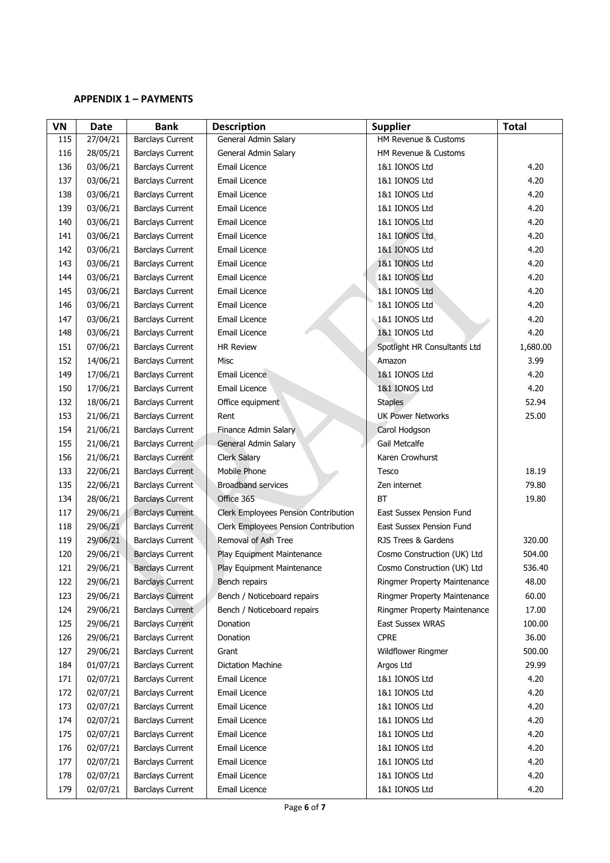### **APPENDIX 1 – PAYMENTS**

| <b>VN</b> | <b>Date</b> | <b>Bank</b>             | <b>Description</b>                   | <b>Supplier</b>                 | <b>Total</b> |
|-----------|-------------|-------------------------|--------------------------------------|---------------------------------|--------------|
| 115       | 27/04/21    | <b>Barclays Current</b> | General Admin Salary                 | HM Revenue & Customs            |              |
| 116       | 28/05/21    | <b>Barclays Current</b> | General Admin Salary                 | HM Revenue & Customs            |              |
| 136       | 03/06/21    | <b>Barclays Current</b> | Email Licence                        | 1&1 IONOS Ltd                   | 4.20         |
| 137       | 03/06/21    | <b>Barclays Current</b> | Email Licence                        | 1&1 IONOS Ltd                   | 4.20         |
| 138       | 03/06/21    | <b>Barclays Current</b> | Email Licence                        | 1&1 IONOS Ltd                   | 4.20         |
| 139       | 03/06/21    | <b>Barclays Current</b> | Email Licence                        | 1&1 IONOS Ltd                   | 4.20         |
| 140       | 03/06/21    | <b>Barclays Current</b> | Email Licence                        | 1&1 IONOS Ltd                   | 4.20         |
| 141       | 03/06/21    | <b>Barclays Current</b> | Email Licence                        | 1&1 IONOS Ltd                   | 4.20         |
| 142       | 03/06/21    | <b>Barclays Current</b> | Email Licence                        | 1&1 IONOS Ltd                   | 4.20         |
| 143       | 03/06/21    | <b>Barclays Current</b> | Email Licence                        | 1&1 IONOS Ltd                   | 4.20         |
| 144       | 03/06/21    | <b>Barclays Current</b> | Email Licence                        | 1&1 IONOS Ltd                   | 4.20         |
| 145       | 03/06/21    | <b>Barclays Current</b> | Email Licence                        | 1&1 IONOS Ltd                   | 4.20         |
| 146       | 03/06/21    | <b>Barclays Current</b> | Email Licence                        | 1&1 IONOS Ltd                   | 4.20         |
| 147       | 03/06/21    | <b>Barclays Current</b> | Email Licence                        | 1&1 IONOS Ltd                   | 4.20         |
| 148       | 03/06/21    | <b>Barclays Current</b> | Email Licence                        | 1&1 IONOS Ltd                   | 4.20         |
| 151       | 07/06/21    | <b>Barclays Current</b> | <b>HR Review</b>                     | Spotlight HR Consultants Ltd    | 1,680.00     |
| 152       | 14/06/21    | <b>Barclays Current</b> | <b>Misc</b>                          | Amazon                          | 3.99         |
| 149       | 17/06/21    | <b>Barclays Current</b> | Email Licence                        | 1&1 IONOS Ltd                   | 4.20         |
| 150       | 17/06/21    | <b>Barclays Current</b> | Email Licence                        | 1&1 IONOS Ltd                   | 4.20         |
| 132       | 18/06/21    | <b>Barclays Current</b> | Office equipment                     | <b>Staples</b>                  | 52.94        |
| 153       | 21/06/21    | <b>Barclays Current</b> | Rent                                 | <b>UK Power Networks</b>        | 25.00        |
| 154       | 21/06/21    | <b>Barclays Current</b> | Finance Admin Salary                 | Carol Hodgson                   |              |
| 155       | 21/06/21    | <b>Barclays Current</b> | General Admin Salary                 | Gail Metcalfe                   |              |
| 156       | 21/06/21    | <b>Barclays Current</b> | <b>Clerk Salary</b>                  | Karen Crowhurst                 |              |
| 133       | 22/06/21    | <b>Barclays Current</b> | Mobile Phone                         | Tesco                           | 18.19        |
| 135       | 22/06/21    | <b>Barclays Current</b> | <b>Broadband services</b>            | Zen internet                    | 79.80        |
| 134       | 28/06/21    | <b>Barclays Current</b> | Office 365                           | BT                              | 19.80        |
| 117       | 29/06/21    | <b>Barclays Current</b> | Clerk Employees Pension Contribution | <b>East Sussex Pension Fund</b> |              |
| 118       | 29/06/21    | <b>Barclays Current</b> | Clerk Employees Pension Contribution | <b>East Sussex Pension Fund</b> |              |
| 119       | 29/06/21    | <b>Barclays Current</b> | Removal of Ash Tree                  | RJS Trees & Gardens             | 320.00       |
| 120       | 29/06/21    | <b>Barclays Current</b> | Play Equipment Maintenance           | Cosmo Construction (UK) Ltd     | 504.00       |
| 121       | 29/06/21    | <b>Barclays Current</b> | Play Equipment Maintenance           | Cosmo Construction (UK) Ltd     | 536.40       |
| 122       | 29/06/21    | <b>Barclays Current</b> | Bench repairs                        | Ringmer Property Maintenance    | 48.00        |
| 123       | 29/06/21    | <b>Barclays Current</b> | Bench / Noticeboard repairs          | Ringmer Property Maintenance    | 60.00        |
| 124       | 29/06/21    | <b>Barclays Current</b> | Bench / Noticeboard repairs          | Ringmer Property Maintenance    | 17.00        |
| 125       | 29/06/21    | <b>Barclays Current</b> | Donation                             | East Sussex WRAS                | 100.00       |
| 126       | 29/06/21    | <b>Barclays Current</b> | Donation                             | <b>CPRE</b>                     | 36.00        |
| 127       | 29/06/21    | <b>Barclays Current</b> | Grant                                | Wildflower Ringmer              | 500.00       |
| 184       | 01/07/21    | <b>Barclays Current</b> | Dictation Machine                    | Argos Ltd                       | 29.99        |
| 171       | 02/07/21    | <b>Barclays Current</b> | Email Licence                        | 1&1 IONOS Ltd                   | 4.20         |
| 172       | 02/07/21    | <b>Barclays Current</b> | Email Licence                        | 1&1 IONOS Ltd                   | 4.20         |
| 173       | 02/07/21    | <b>Barclays Current</b> | Email Licence                        | 1&1 IONOS Ltd                   | 4.20         |
| 174       | 02/07/21    | <b>Barclays Current</b> | Email Licence                        | 1&1 IONOS Ltd                   | 4.20         |
| 175       | 02/07/21    | <b>Barclays Current</b> | Email Licence                        | 1&1 IONOS Ltd                   | 4.20         |
| 176       | 02/07/21    | <b>Barclays Current</b> | Email Licence                        | 1&1 IONOS Ltd                   | 4.20         |
| 177       | 02/07/21    | <b>Barclays Current</b> | Email Licence                        | 1&1 IONOS Ltd                   | 4.20         |
| 178       | 02/07/21    | <b>Barclays Current</b> | Email Licence                        | 1&1 IONOS Ltd                   | 4.20         |
| 179       | 02/07/21    | <b>Barclays Current</b> | Email Licence                        | 1&1 IONOS Ltd                   | 4.20         |